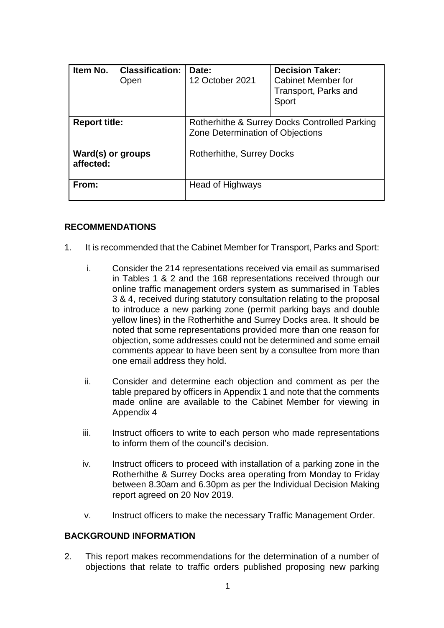| Item No.                       | <b>Classification:</b><br>Open | Date:<br>12 October 2021                                                          | <b>Decision Taker:</b><br><b>Cabinet Member for</b><br>Transport, Parks and<br>Sport |
|--------------------------------|--------------------------------|-----------------------------------------------------------------------------------|--------------------------------------------------------------------------------------|
| <b>Report title:</b>           |                                | Rotherhithe & Surrey Docks Controlled Parking<br>Zone Determination of Objections |                                                                                      |
| Ward(s) or groups<br>affected: |                                | <b>Rotherhithe, Surrey Docks</b>                                                  |                                                                                      |
| From:                          |                                | Head of Highways                                                                  |                                                                                      |

#### **RECOMMENDATIONS**

- 1. It is recommended that the Cabinet Member for Transport, Parks and Sport:
	- i. Consider the 214 representations received via email as summarised in Tables 1 & 2 and the 168 representations received through our online traffic management orders system as summarised in Tables 3 & 4, received during statutory consultation relating to the proposal to introduce a new parking zone (permit parking bays and double yellow lines) in the Rotherhithe and Surrey Docks area. It should be noted that some representations provided more than one reason for objection, some addresses could not be determined and some email comments appear to have been sent by a consultee from more than one email address they hold.
	- ii. Consider and determine each objection and comment as per the table prepared by officers in Appendix 1 and note that the comments made online are available to the Cabinet Member for viewing in Appendix 4
	- iii. Instruct officers to write to each person who made representations to inform them of the council's decision.
	- iv. Instruct officers to proceed with installation of a parking zone in the Rotherhithe & Surrey Docks area operating from Monday to Friday between 8.30am and 6.30pm as per the Individual Decision Making report agreed on 20 Nov 2019.
	- v. Instruct officers to make the necessary Traffic Management Order.

#### **BACKGROUND INFORMATION**

2. This report makes recommendations for the determination of a number of objections that relate to traffic orders published proposing new parking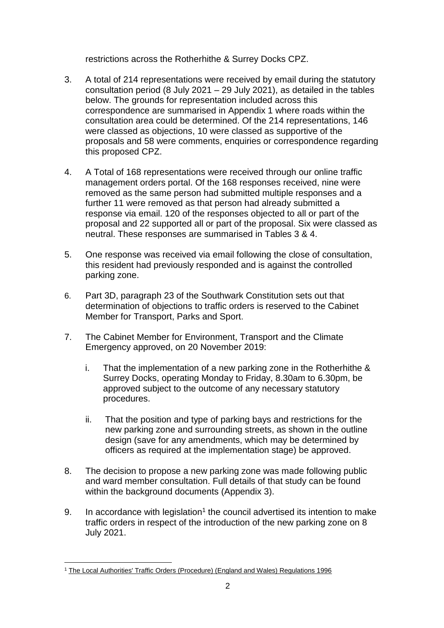restrictions across the Rotherhithe & Surrey Docks CPZ.

- 3. A total of 214 representations were received by email during the statutory consultation period (8 July 2021 – 29 July 2021), as detailed in the tables below. The grounds for representation included across this correspondence are summarised in Appendix 1 where roads within the consultation area could be determined. Of the 214 representations, 146 were classed as objections, 10 were classed as supportive of the proposals and 58 were comments, enquiries or correspondence regarding this proposed CPZ.
- 4. A Total of 168 representations were received through our online traffic management orders portal. Of the 168 responses received, nine were removed as the same person had submitted multiple responses and a further 11 were removed as that person had already submitted a response via email. 120 of the responses objected to all or part of the proposal and 22 supported all or part of the proposal. Six were classed as neutral. These responses are summarised in Tables 3 & 4.
- 5. One response was received via email following the close of consultation, this resident had previously responded and is against the controlled parking zone.
- 6. Part 3D, paragraph 23 of the Southwark Constitution sets out that determination of objections to traffic orders is reserved to the Cabinet Member for Transport, Parks and Sport.
- 7. The Cabinet Member for Environment, Transport and the Climate Emergency approved, on 20 November 2019:
	- i. That the implementation of a new parking zone in the Rotherhithe & Surrey Docks, operating Monday to Friday, 8.30am to 6.30pm, be approved subject to the outcome of any necessary statutory procedures.
	- ii. That the position and type of parking bays and restrictions for the new parking zone and surrounding streets, as shown in the outline design (save for any amendments, which may be determined by officers as required at the implementation stage) be approved.
- 8. The decision to propose a new parking zone was made following public and ward member consultation. Full details of that study can be found within the background documents (Appendix 3).
- 9. In accordance with legislation<sup>1</sup> the council advertised its intention to make traffic orders in respect of the introduction of the new parking zone on 8 July 2021.

 $\overline{a}$ 

<sup>&</sup>lt;sup>1</sup> [The Local Authorities' Traffic Orders \(Procedure\) \(England and Wales\) Regulations 1996](http://www.legislation.gov.uk/uksi/1996/2489/contents/made)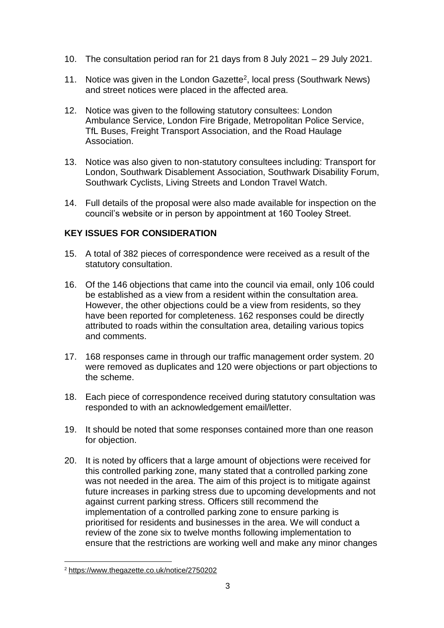- 10. The consultation period ran for 21 days from 8 July 2021 29 July 2021.
- 11. Notice was given in the London Gazette<sup>2</sup>, local press (Southwark News) and street notices were placed in the affected area.
- 12. Notice was given to the following statutory consultees: London Ambulance Service, London Fire Brigade, Metropolitan Police Service, TfL Buses, Freight Transport Association, and the Road Haulage Association.
- 13. Notice was also given to non-statutory consultees including: Transport for London, Southwark Disablement Association, Southwark Disability Forum, Southwark Cyclists, Living Streets and London Travel Watch.
- 14. Full details of the proposal were also made available for inspection on the council's website or in person by appointment at 160 Tooley Street.

# **KEY ISSUES FOR CONSIDERATION**

- 15. A total of 382 pieces of correspondence were received as a result of the statutory consultation.
- 16. Of the 146 objections that came into the council via email, only 106 could be established as a view from a resident within the consultation area. However, the other objections could be a view from residents, so they have been reported for completeness. 162 responses could be directly attributed to roads within the consultation area, detailing various topics and comments.
- 17. 168 responses came in through our traffic management order system. 20 were removed as duplicates and 120 were objections or part objections to the scheme.
- 18. Each piece of correspondence received during statutory consultation was responded to with an acknowledgement email/letter.
- 19. It should be noted that some responses contained more than one reason for objection.
- 20. It is noted by officers that a large amount of objections were received for this controlled parking zone, many stated that a controlled parking zone was not needed in the area. The aim of this project is to mitigate against future increases in parking stress due to upcoming developments and not against current parking stress. Officers still recommend the implementation of a controlled parking zone to ensure parking is prioritised for residents and businesses in the area. We will conduct a review of the zone six to twelve months following implementation to ensure that the restrictions are working well and make any minor changes

 $\overline{a}$ <sup>2</sup> <https://www.thegazette.co.uk/notice/2750202>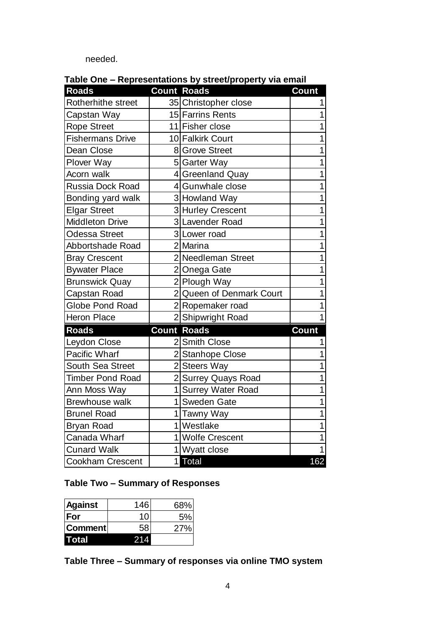needed.

| <b>Roads</b>              |                | <b>Count Roads</b>       | <b>Count</b> |
|---------------------------|----------------|--------------------------|--------------|
| <b>Rotherhithe street</b> |                | 35 Christopher close     |              |
| Capstan Way               |                | 15 Farrins Rents         | 1            |
| <b>Rope Street</b>        |                | 11 Fisher close          | 1            |
| <b>Fishermans Drive</b>   |                | 10 Falkirk Court         | 1            |
| Dean Close                |                | 8 Grove Street           | 1            |
| <b>Plover Way</b>         |                | 5 Garter Way             | 1            |
| Acorn walk                |                | 4 Greenland Quay         | 1            |
| <b>Russia Dock Road</b>   |                | 4 Gunwhale close         | 1            |
| Bonding yard walk         |                | 3 Howland Way            | 1            |
| <b>Elgar Street</b>       |                | 3 Hurley Crescent        | 1            |
| <b>Middleton Drive</b>    |                | 3 Lavender Road          | 1            |
| <b>Odessa Street</b>      |                | 3 Lower road             | 1            |
| Abbortshade Road          |                | 2 Marina                 | 1            |
| <b>Bray Crescent</b>      |                | 2 Needleman Street       |              |
| <b>Bywater Place</b>      |                | 2 Onega Gate             | 1            |
| <b>Brunswick Quay</b>     |                | 2 Plough Way             | 1            |
| Capstan Road              | $\overline{2}$ | Queen of Denmark Court   |              |
| <b>Globe Pond Road</b>    |                | 2Ropemaker road          | 1            |
| <b>Heron Place</b>        |                | 2 Shipwright Road        | 1            |
| <b>Roads</b>              |                | <b>Count Roads</b>       | Count        |
| Leydon Close              |                | 2 Smith Close            |              |
| <b>Pacific Wharf</b>      |                | 2 Stanhope Close         | 1            |
| <b>South Sea Street</b>   | $\overline{2}$ | <b>Steers Way</b>        | 1            |
| <b>Timber Pond Road</b>   |                | 2 Surrey Quays Road      |              |
| Ann Moss Way              | 1              | <b>Surrey Water Road</b> | 1            |
| <b>Brewhouse walk</b>     | $\mathbf 1$    | <b>Sweden Gate</b>       | 1            |
| <b>Brunel Road</b>        | $\mathbf 1$    | Tawny Way                |              |
| <b>Bryan Road</b>         | 1              | Westlake                 | 1            |
| Canada Wharf              |                | 1 Wolfe Crescent         |              |
| <b>Cunard Walk</b>        |                | 11<br>Wyatt close        |              |
| <b>Cookham Crescent</b>   | 1              | <b>Total</b>             | 162          |

**Table One – Representations by street/property via email**

# **Table Two – Summary of Responses**

| <b>Against</b> | 146 | 68% |
|----------------|-----|-----|
| <b>IFor</b>    | 10  | 5%  |
| ∣Comment∣      | 58  | 27% |
| Total          |     |     |

**Table Three – Summary of responses via online TMO system**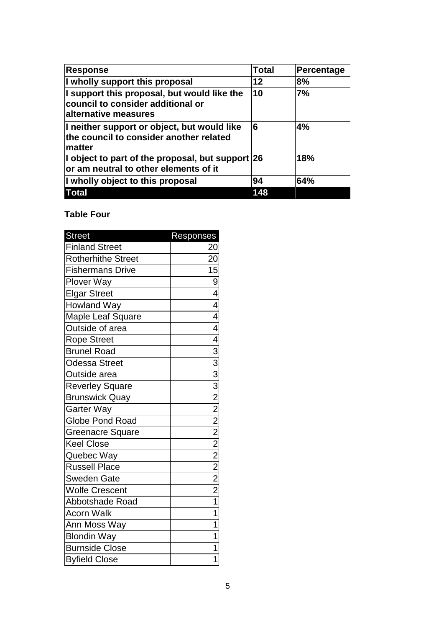| <b>Response</b>                                                                                                  | <b>Total</b> | Percentage |
|------------------------------------------------------------------------------------------------------------------|--------------|------------|
| I wholly support this proposal                                                                                   | 12           | 8%         |
| I support this proposal, but would like the<br>council to consider additional or<br><b>laIternative measures</b> | 10           | 7%         |
| I neither support or object, but would like<br>the council to consider another related<br>∣matter                | 6            | 4%         |
| I object to part of the proposal, but support $ 26 $<br>or am neutral to other elements of it                    |              | 18%        |
| I wholly object to this proposal                                                                                 | 94           | 64%        |
| <b>Total</b>                                                                                                     | 148          |            |

## **Table Four**

| <b>Street</b>             | Responses                                                                                                                                                               |
|---------------------------|-------------------------------------------------------------------------------------------------------------------------------------------------------------------------|
| <b>Finland Street</b>     | 20                                                                                                                                                                      |
| <b>Rotherhithe Street</b> | 20                                                                                                                                                                      |
| <b>Fishermans Drive</b>   |                                                                                                                                                                         |
| Plover Way                | ᅀᇰᇰ                                                                                                                                                                     |
| <b>Elgar Street</b>       |                                                                                                                                                                         |
| <b>Howland Way</b>        |                                                                                                                                                                         |
| Maple Leaf Square         | $\overline{4}$                                                                                                                                                          |
| Outside of area           |                                                                                                                                                                         |
| Rope Street               |                                                                                                                                                                         |
| <b>Brunel Road</b>        |                                                                                                                                                                         |
| <b>Odessa Street</b>      |                                                                                                                                                                         |
| Outside area              |                                                                                                                                                                         |
| <b>Reverley Square</b>    | $\frac{4}{4}$ $\frac{4}{3}$ $\frac{3}{3}$ $\frac{3}{3}$ $\frac{2}{2}$ $\frac{2}{2}$ $\frac{2}{2}$ $\frac{2}{2}$ $\frac{2}{2}$ $\frac{2}{2}$ $\frac{2}{2}$ $\frac{2}{2}$ |
| <b>Brunswick Quay</b>     |                                                                                                                                                                         |
| <b>Garter Way</b>         |                                                                                                                                                                         |
| <b>Globe Pond Road</b>    |                                                                                                                                                                         |
| <b>Greenacre Square</b>   |                                                                                                                                                                         |
| <b>Keel Close</b>         |                                                                                                                                                                         |
| Quebec Way                |                                                                                                                                                                         |
| Russell Place             |                                                                                                                                                                         |
| <b>Sweden Gate</b>        |                                                                                                                                                                         |
| <b>Wolfe Crescent</b>     |                                                                                                                                                                         |
| Abbotshade Road           |                                                                                                                                                                         |
| <b>Acorn Walk</b>         | $\overline{1}$                                                                                                                                                          |
| Ann Moss Way              | $\overline{1}$                                                                                                                                                          |
| <b>Blondin Way</b>        | $\overline{\mathbf{1}}$                                                                                                                                                 |
| <b>Burnside Close</b>     | $\overline{1}$                                                                                                                                                          |
| <b>Byfield Close</b>      | $\overline{1}$                                                                                                                                                          |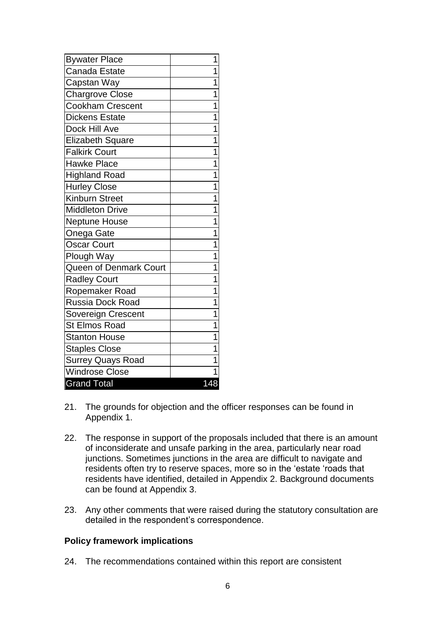| <b>Bywater Place</b>     | 1   |
|--------------------------|-----|
| <b>Canada Estate</b>     | 1   |
| Capstan Way              | 1   |
| <b>Chargrove Close</b>   | 1   |
| <b>Cookham Crescent</b>  | 1   |
| <b>Dickens Estate</b>    | 1   |
| Dock Hill Ave            | 1   |
| <b>Elizabeth Square</b>  | 1   |
| <b>Falkirk Court</b>     | 1   |
| <b>Hawke Place</b>       | 1   |
| <b>Highland Road</b>     | 1   |
| <b>Hurley Close</b>      | 1   |
| <b>Kinburn Street</b>    | 1   |
| <b>Middleton Drive</b>   | 1   |
| <b>Neptune House</b>     | 1   |
| Onega Gate               | 1   |
| <b>Oscar Court</b>       | 1   |
| Plough Way               | 1   |
| Queen of Denmark Court   | 1   |
| <b>Radley Court</b>      | 1   |
| Ropemaker Road           | 1   |
| <b>Russia Dock Road</b>  | 1   |
| Sovereign Crescent       | 1   |
| <b>St Elmos Road</b>     | 1   |
| <b>Stanton House</b>     | 1   |
| <b>Staples Close</b>     | 1   |
| <b>Surrey Quays Road</b> | 1   |
| <b>Windrose Close</b>    | 1   |
| <b>Grand Total</b>       | 148 |

- 21. The grounds for objection and the officer responses can be found in Appendix 1.
- 22. The response in support of the proposals included that there is an amount of inconsiderate and unsafe parking in the area, particularly near road junctions. Sometimes junctions in the area are difficult to navigate and residents often try to reserve spaces, more so in the 'estate 'roads that residents have identified, detailed in Appendix 2. Background documents can be found at Appendix 3.
- 23. Any other comments that were raised during the statutory consultation are detailed in the respondent's correspondence.

#### **Policy framework implications**

24. The recommendations contained within this report are consistent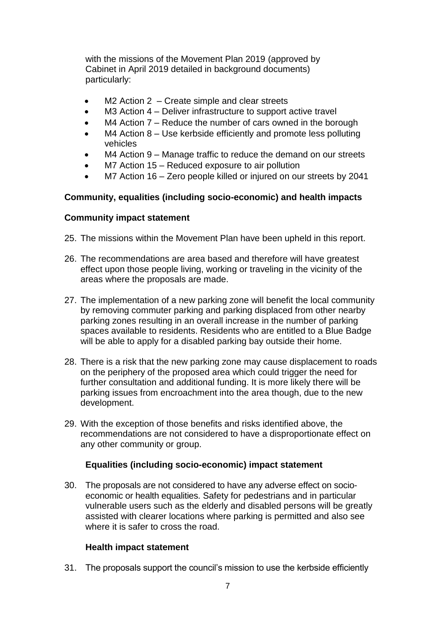with the missions of the Movement Plan 2019 (approved by Cabinet in April 2019 detailed in background documents) particularly:

- M2 Action 2 Create simple and clear streets
- M3 Action 4 Deliver infrastructure to support active travel
- M4 Action 7 Reduce the number of cars owned in the borough
- M4 Action 8 Use kerbside efficiently and promote less polluting vehicles
- M4 Action 9 Manage traffic to reduce the demand on our streets
- M7 Action 15 Reduced exposure to air pollution
- M7 Action 16 Zero people killed or injured on our streets by 2041

## **Community, equalities (including socio-economic) and health impacts**

#### **Community impact statement**

- 25. The missions within the Movement Plan have been upheld in this report.
- 26. The recommendations are area based and therefore will have greatest effect upon those people living, working or traveling in the vicinity of the areas where the proposals are made.
- 27. The implementation of a new parking zone will benefit the local community by removing commuter parking and parking displaced from other nearby parking zones resulting in an overall increase in the number of parking spaces available to residents. Residents who are entitled to a Blue Badge will be able to apply for a disabled parking bay outside their home.
- 28. There is a risk that the new parking zone may cause displacement to roads on the periphery of the proposed area which could trigger the need for further consultation and additional funding. It is more likely there will be parking issues from encroachment into the area though, due to the new development.
- 29. With the exception of those benefits and risks identified above, the recommendations are not considered to have a disproportionate effect on any other community or group.

#### **Equalities (including socio-economic) impact statement**

30. The proposals are not considered to have any adverse effect on socioeconomic or health equalities. Safety for pedestrians and in particular vulnerable users such as the elderly and disabled persons will be greatly assisted with clearer locations where parking is permitted and also see where it is safer to cross the road.

#### **Health impact statement**

31. The proposals support the council's mission to use the kerbside efficiently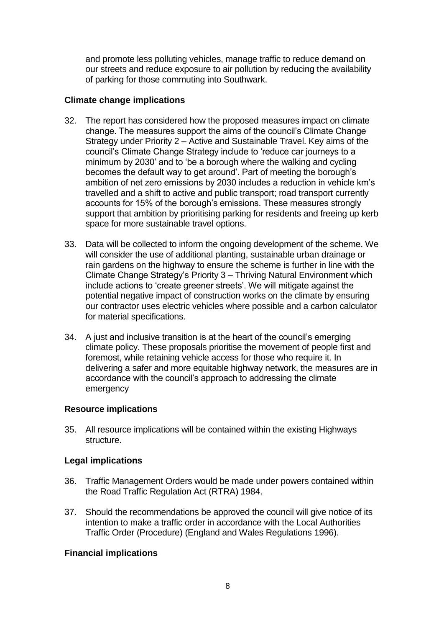and promote less polluting vehicles, manage traffic to reduce demand on our streets and reduce exposure to air pollution by reducing the availability of parking for those commuting into Southwark.

## **Climate change implications**

- 32. The report has considered how the proposed measures impact on climate change. The measures support the aims of the council's Climate Change Strategy under Priority 2 – Active and Sustainable Travel. Key aims of the council's Climate Change Strategy include to 'reduce car journeys to a minimum by 2030' and to 'be a borough where the walking and cycling becomes the default way to get around'. Part of meeting the borough's ambition of net zero emissions by 2030 includes a reduction in vehicle km's travelled and a shift to active and public transport; road transport currently accounts for 15% of the borough's emissions. These measures strongly support that ambition by prioritising parking for residents and freeing up kerb space for more sustainable travel options.
- 33. Data will be collected to inform the ongoing development of the scheme. We will consider the use of additional planting, sustainable urban drainage or rain gardens on the highway to ensure the scheme is further in line with the Climate Change Strategy's Priority 3 – Thriving Natural Environment which include actions to 'create greener streets'. We will mitigate against the potential negative impact of construction works on the climate by ensuring our contractor uses electric vehicles where possible and a carbon calculator for material specifications.
- 34. A just and inclusive transition is at the heart of the council's emerging climate policy. These proposals prioritise the movement of people first and foremost, while retaining vehicle access for those who require it. In delivering a safer and more equitable highway network, the measures are in accordance with the council's approach to addressing the climate emergency

#### **Resource implications**

35. All resource implications will be contained within the existing Highways structure.

#### **Legal implications**

- 36. Traffic Management Orders would be made under powers contained within the Road Traffic Regulation Act (RTRA) 1984.
- 37. Should the recommendations be approved the council will give notice of its intention to make a traffic order in accordance with the Local Authorities Traffic Order (Procedure) (England and Wales Regulations 1996).

#### **Financial implications**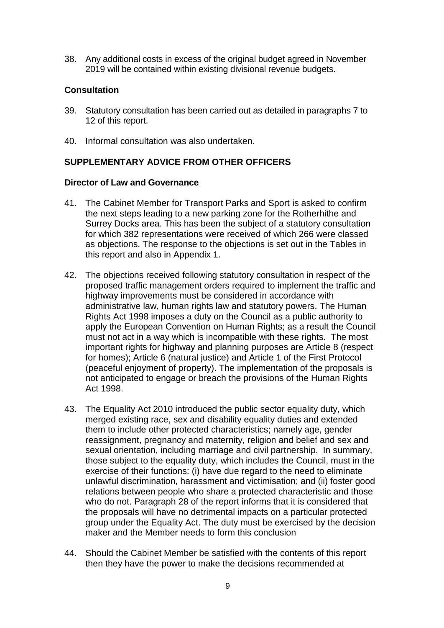38. Any additional costs in excess of the original budget agreed in November 2019 will be contained within existing divisional revenue budgets.

## **Consultation**

- 39. Statutory consultation has been carried out as detailed in paragraphs 7 to 12 of this report.
- 40. Informal consultation was also undertaken.

## **SUPPLEMENTARY ADVICE FROM OTHER OFFICERS**

#### **Director of Law and Governance**

- 41. The Cabinet Member for Transport Parks and Sport is asked to confirm the next steps leading to a new parking zone for the Rotherhithe and Surrey Docks area. This has been the subject of a statutory consultation for which 382 representations were received of which 266 were classed as objections. The response to the objections is set out in the Tables in this report and also in Appendix 1.
- 42. The objections received following statutory consultation in respect of the proposed traffic management orders required to implement the traffic and highway improvements must be considered in accordance with administrative law, human rights law and statutory powers. The Human Rights Act 1998 imposes a duty on the Council as a public authority to apply the European Convention on Human Rights; as a result the Council must not act in a way which is incompatible with these rights. The most important rights for highway and planning purposes are Article 8 (respect for homes); Article 6 (natural justice) and Article 1 of the First Protocol (peaceful enjoyment of property). The implementation of the proposals is not anticipated to engage or breach the provisions of the Human Rights Act 1998.
- 43. The Equality Act 2010 introduced the public sector equality duty, which merged existing race, sex and disability equality duties and extended them to include other protected characteristics; namely age, gender reassignment, pregnancy and maternity, religion and belief and sex and sexual orientation, including marriage and civil partnership. In summary, those subject to the equality duty, which includes the Council, must in the exercise of their functions: (i) have due regard to the need to eliminate unlawful discrimination, harassment and victimisation; and (ii) foster good relations between people who share a protected characteristic and those who do not. Paragraph 28 of the report informs that it is considered that the proposals will have no detrimental impacts on a particular protected group under the Equality Act. The duty must be exercised by the decision maker and the Member needs to form this conclusion
- 44. Should the Cabinet Member be satisfied with the contents of this report then they have the power to make the decisions recommended at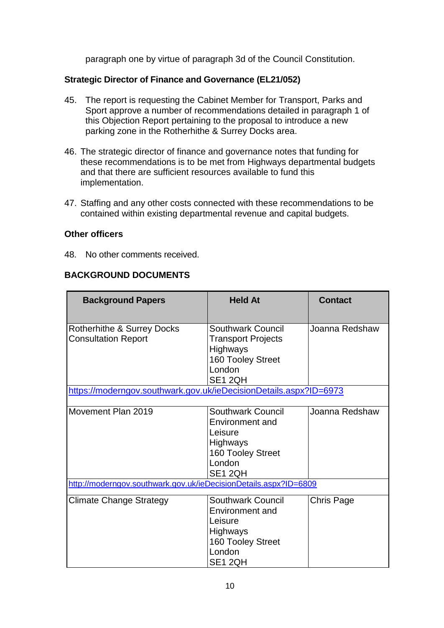paragraph one by virtue of paragraph 3d of the Council Constitution.

## **Strategic Director of Finance and Governance (EL21/052)**

- 45. The report is requesting the Cabinet Member for Transport, Parks and Sport approve a number of recommendations detailed in paragraph 1 of this Objection Report pertaining to the proposal to introduce a new parking zone in the Rotherhithe & Surrey Docks area.
- 46. The strategic director of finance and governance notes that funding for these recommendations is to be met from Highways departmental budgets and that there are sufficient resources available to fund this implementation.
- 47. Staffing and any other costs connected with these recommendations to be contained within existing departmental revenue and capital budgets.

## **Other officers**

48. No other comments received.

## **BACKGROUND DOCUMENTS**

| <b>Background Papers</b>                                          | <b>Held At</b>                                                                                                      | <b>Contact</b> |  |
|-------------------------------------------------------------------|---------------------------------------------------------------------------------------------------------------------|----------------|--|
| Rotherhithe & Surrey Docks<br><b>Consultation Report</b>          | Southwark Council<br><b>Transport Projects</b><br><b>Highways</b><br>160 Tooley Street<br>London<br>SE1 2QH         | Joanna Redshaw |  |
| https://moderngov.southwark.gov.uk/ieDecisionDetails.aspx?ID=6973 |                                                                                                                     |                |  |
| Movement Plan 2019                                                | Southwark Council<br>Environment and<br>Leisure<br><b>Highways</b><br>160 Tooley Street<br>London<br>SE1 2QH        | Joanna Redshaw |  |
| http://moderngov.southwark.gov.uk/ieDecisionDetails.aspx?ID=6809  |                                                                                                                     |                |  |
| Climate Change Strategy                                           | <b>Southwark Council</b><br>Environment and<br>Leisure<br><b>Highways</b><br>160 Tooley Street<br>London<br>SE1 2QH | Chris Page     |  |